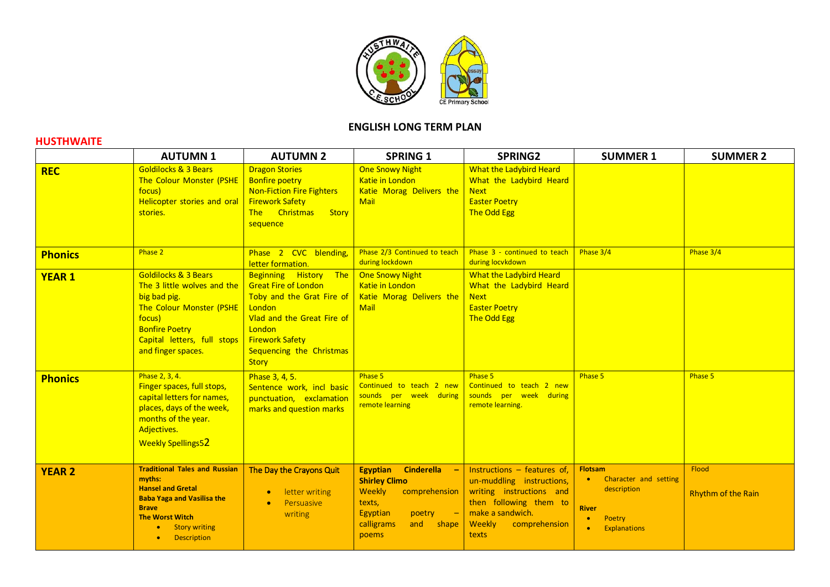

## **ENGLISH LONG TERM PLAN**

## **HUSTHWAITE**

|                | <b>AUTUMN1</b>                                                                                                                                                                                                                    | <b>AUTUMN 2</b>                                                                                                                                                                                           | <b>SPRING 1</b>                                                                                                                                                                    | <b>SPRING2</b>                                                                                                                                                           | <b>SUMMER 1</b>                                                                                                            | <b>SUMMER 2</b>                           |
|----------------|-----------------------------------------------------------------------------------------------------------------------------------------------------------------------------------------------------------------------------------|-----------------------------------------------------------------------------------------------------------------------------------------------------------------------------------------------------------|------------------------------------------------------------------------------------------------------------------------------------------------------------------------------------|--------------------------------------------------------------------------------------------------------------------------------------------------------------------------|----------------------------------------------------------------------------------------------------------------------------|-------------------------------------------|
| <b>REC</b>     | <b>Goldilocks &amp; 3 Bears</b><br>The Colour Monster (PSHE<br>focus)<br>Helicopter stories and oral<br>stories.                                                                                                                  | <b>Dragon Stories</b><br><b>Bonfire poetry</b><br><b>Non-Fiction Fire Fighters</b><br><b>Firework Safety</b><br>The Christmas<br><b>Story</b><br>sequence                                                 | <b>One Snowy Night</b><br>Katie in London<br>Katie Morag Delivers the<br>Mail                                                                                                      | <b>What the Ladybird Heard</b><br>What the Ladybird Heard<br><b>Next</b><br><b>Easter Poetry</b><br>The Odd Egg                                                          |                                                                                                                            |                                           |
| <b>Phonics</b> | Phase 2                                                                                                                                                                                                                           | Phase 2 CVC blending,<br>letter formation.                                                                                                                                                                | Phase 2/3 Continued to teach<br>during lockdown                                                                                                                                    | Phase 3 - continued to teach<br>during locykdown                                                                                                                         | Phase 3/4                                                                                                                  | Phase 3/4                                 |
| <b>YEAR 1</b>  | <b>Goldilocks &amp; 3 Bears</b><br>The 3 little wolves and the<br>big bad pig.<br><b>The Colour Monster (PSHE</b><br>focus)<br><b>Bonfire Poetry</b><br>Capital letters, full stops<br>and finger spaces.                         | Beginning History The<br><b>Great Fire of London</b><br>Toby and the Grat Fire of<br>London<br>Vlad and the Great Fire of<br>London<br><b>Firework Safety</b><br>Sequencing the Christmas<br><b>Story</b> | <b>One Snowy Night</b><br>Katie in London<br>Katie Morag Delivers the<br><b>Mail</b>                                                                                               | What the Ladybird Heard<br>What the Ladybird Heard<br><b>Next</b><br><b>Easter Poetry</b><br>The Odd Egg                                                                 |                                                                                                                            |                                           |
| <b>Phonics</b> | Phase 2, 3, 4.<br>Finger spaces, full stops,<br>capital letters for names,<br>places, days of the week,<br>months of the year.<br>Adjectives.<br><b>Weekly Spellings52</b>                                                        | Phase 3, 4, 5.<br>Sentence work, incl basic<br>punctuation, exclamation<br>marks and question marks                                                                                                       | Phase 5<br>Continued to teach 2 new<br>sounds per week during<br>remote learning                                                                                                   | Phase 5<br>Continued to teach 2 new<br>sounds per week during<br>remote learning.                                                                                        | Phase 5                                                                                                                    | Phase 5                                   |
| <b>YEAR 2</b>  | <b>Traditional Tales and Russian</b><br>myths:<br><b>Hansel and Gretal</b><br><b>Baba Yaga and Vasilisa the</b><br><b>Brave</b><br><b>The Worst Witch</b><br><b>Story writing</b><br>$\bullet$<br><b>Description</b><br>$\bullet$ | The Day the Crayons Quit<br>letter writing<br>$\bullet$<br>Persuasive<br>$\bullet$<br>writing                                                                                                             | <b>Egyptian</b><br><b>Cinderella</b><br>$\sim$ $-$<br><b>Shirley Climo</b><br>Weekly<br>comprehension<br>texts,<br>Egyptian<br>$poetry$ $-$<br>calligrams<br>and<br>shape<br>poems | Instructions $-$ features of,<br>un-muddling instructions,<br>writing instructions and<br>then following them to<br>make a sandwich.<br>Weekly<br>comprehension<br>texts | <b>Flotsam</b><br>Character and setting<br>$\bullet$<br>description<br><b>River</b><br>Poetry<br>$\bullet$<br>Explanations | <b>Flood</b><br><b>Rhythm of the Rain</b> |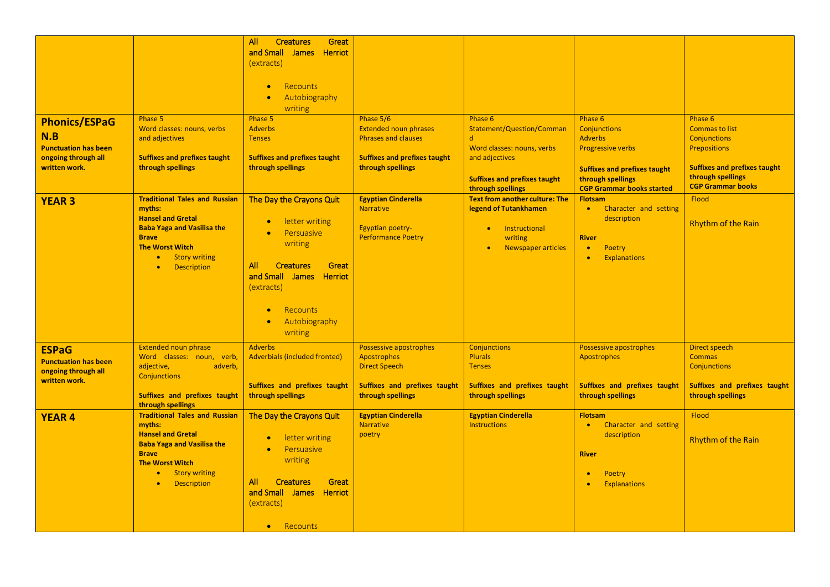| <b>Phonics/ESPaG</b><br>N.B<br><b>Punctuation has been</b><br>ongoing through all<br>written work. | Phase 5<br>Word classes: nouns, verbs<br>and adjectives<br><b>Suffixes and prefixes taught</b><br>through spellings                                                                                                               | All<br><b>Creatures</b><br>Great<br>and Small James Herriot<br>(extracts)<br>Recounts<br>$\bullet$<br>Autobiography<br>$\bullet$<br>writing<br>Phase 5<br><b>Adverbs</b><br><b>Tenses</b><br><b>Suffixes and prefixes taught</b><br>through spellings | Phase 5/6<br><b>Extended noun phrases</b><br><b>Phrases and clauses</b><br><b>Suffixes and prefixes taught</b><br>through spellings | Phase 6<br>Statement/Question/Comman<br>$\mathsf{d}$<br>Word classes: nouns, verbs<br>and adjectives<br><b>Suffixes and prefixes taught</b><br>through spellings | Phase 6<br><b>Conjunctions</b><br><b>Adverbs</b><br><b>Progressive verbs</b><br><b>Suffixes and prefixes taught</b><br>through spellings<br><b>CGP Grammar books started</b> | Phase 6<br><b>Commas to list</b><br><b>Conjunctions</b><br><b>Prepositions</b><br><b>Suffixes and prefixes taught</b><br>through spellings<br><b>CGP Grammar books</b> |
|----------------------------------------------------------------------------------------------------|-----------------------------------------------------------------------------------------------------------------------------------------------------------------------------------------------------------------------------------|-------------------------------------------------------------------------------------------------------------------------------------------------------------------------------------------------------------------------------------------------------|-------------------------------------------------------------------------------------------------------------------------------------|------------------------------------------------------------------------------------------------------------------------------------------------------------------|------------------------------------------------------------------------------------------------------------------------------------------------------------------------------|------------------------------------------------------------------------------------------------------------------------------------------------------------------------|
| <b>YEAR 3</b>                                                                                      | <b>Traditional Tales and Russian</b><br>myths:<br><b>Hansel and Gretal</b><br><b>Baba Yaga and Vasilisa the</b><br><b>Brave</b><br><b>The Worst Witch</b><br><b>Story writing</b><br>$\bullet$<br><b>Description</b><br>$\bullet$ | The Day the Crayons Quit<br>letter writing<br>Persuasive<br>$\bullet$<br>writing<br>All<br><b>Creatures</b><br>Great<br>and Small James Herriot<br>(extracts)<br>Recounts<br>$\bullet$<br>Autobiography<br>$\bullet$<br>writing                       | <b>Egyptian Cinderella</b><br><b>Narrative</b><br>Egyptian poetry-<br><b>Performance Poetry</b>                                     | Text from another culture: The<br>legend of Tutankhamen<br>Instructional<br>$\bullet$<br>writing<br>Newspaper articles                                           | <b>Flotsam</b><br>Character and setting<br>$\bullet$<br>description<br><b>River</b><br>Poetry<br>$\bullet$<br><b>Explanations</b>                                            | <b>Flood</b><br>Rhythm of the Rain                                                                                                                                     |
| <b>ESPaG</b><br><b>Punctuation has been</b><br>ongoing through all<br>written work.                | <b>Extended noun phrase</b><br>Word classes: noun, verb,<br>adjective,<br>adverb,<br><b>Conjunctions</b><br><b>Suffixes and prefixes taught</b><br>through spellings                                                              | <b>Adverbs</b><br><b>Adverbials (included fronted)</b><br><b>Suffixes and prefixes taught</b><br>through spellings                                                                                                                                    | Possessive apostrophes<br>Apostrophes<br><b>Direct Speech</b><br>Suffixes and prefixes taught<br>through spellings                  | <b>Conjunctions</b><br><b>Plurals</b><br><b>Tenses</b><br>Suffixes and prefixes taught<br>through spellings                                                      | Possessive apostrophes<br>Apostrophes<br><b>Suffixes and prefixes taught</b><br>through spellings                                                                            | Direct speech<br><b>Commas</b><br>Conjunctions<br>Suffixes and prefixes taught<br>through spellings                                                                    |
| <b>YEAR 4</b>                                                                                      | <b>Traditional Tales and Russian</b><br>myths:<br><b>Hansel and Gretal</b><br><b>Baba Yaga and Vasilisa the</b><br><b>Brave</b><br><b>The Worst Witch</b><br><b>Story writing</b><br>$\bullet$<br><b>Description</b><br>$\bullet$ | The Day the Crayons Quit<br>letter writing<br>Persuasive<br>$\bullet$<br>writing<br>All<br><b>Creatures</b><br>Great<br>and Small James Herriot<br>(extracts)<br>Recounts<br>$\bullet$                                                                | <b>Egyptian Cinderella</b><br><b>Narrative</b><br>poetry                                                                            | <b>Egyptian Cinderella</b><br><b>Instructions</b>                                                                                                                | <b>Flotsam</b><br>Character and setting<br>$\bullet$<br>description<br><b>River</b><br>Poetry<br><b>Explanations</b>                                                         | <b>Flood</b><br>Rhythm of the Rain                                                                                                                                     |